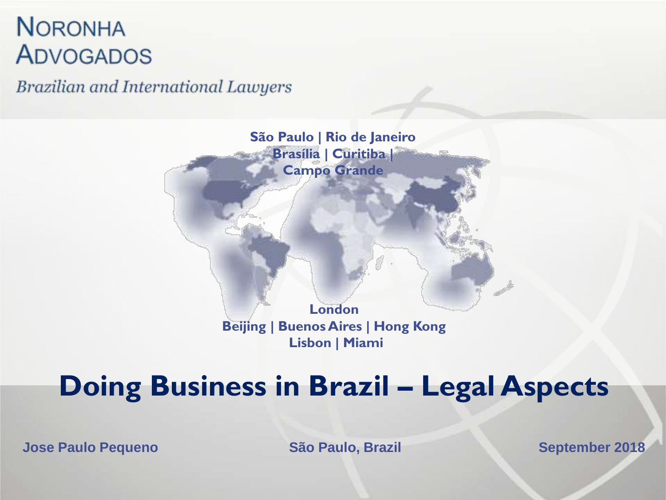#### **NORONHA ADVOGADOS**

**Brazilian and International Lawyers** 

**São Paulo | Rio de Janeiro Brasília | Curitiba | Campo Grande**

> **London Beijing | Buenos Aires | Hong Kong Lisbon | Miami**

#### **Doing Business in Brazil – Legal Aspects**

**Jose Paulo Pequeno São Paulo, Brazil September 2018**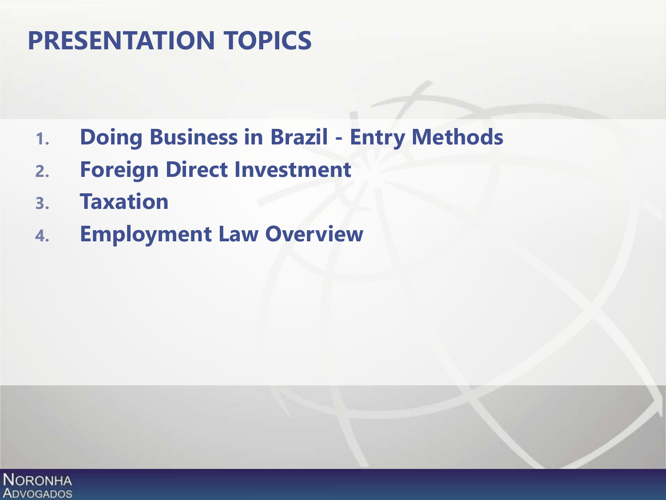#### **PRESENTATION TOPICS**

- **1. Doing Business in Brazil - Entry Methods**
- **2. Foreign Direct Investment**
- **3. Taxation**
- **4. Employment Law Overview**

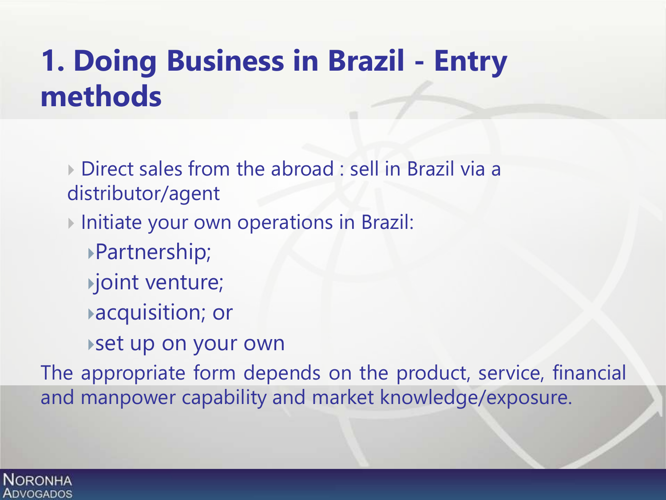# **1. Doing Business in Brazil - Entry methods**

 Direct sales from the abroad : sell in Brazil via a distributor/agent

Initiate your own operations in Brazil:

- Partnership;
- joint venture;
- acquisition; or
- set up on your own

The appropriate form depends on the product, service, financial and manpower capability and market knowledge/exposure.

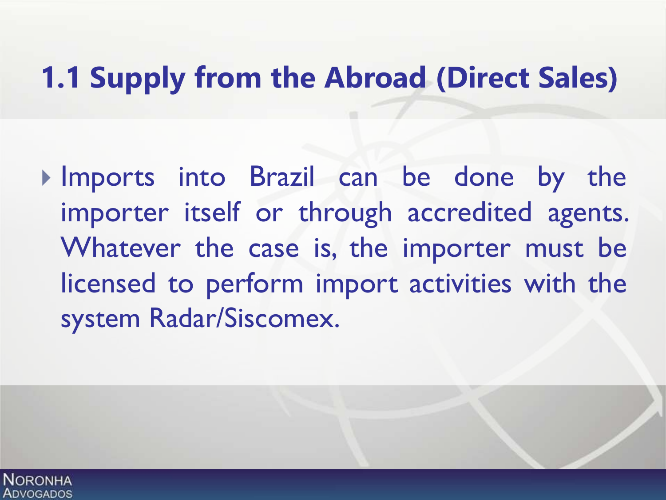# **1.1 Supply from the Abroad (Direct Sales)**

Imports into Brazil can be done by the importer itself or through accredited agents. Whatever the case is, the importer must be licensed to perform import activities with the system Radar/Siscomex.

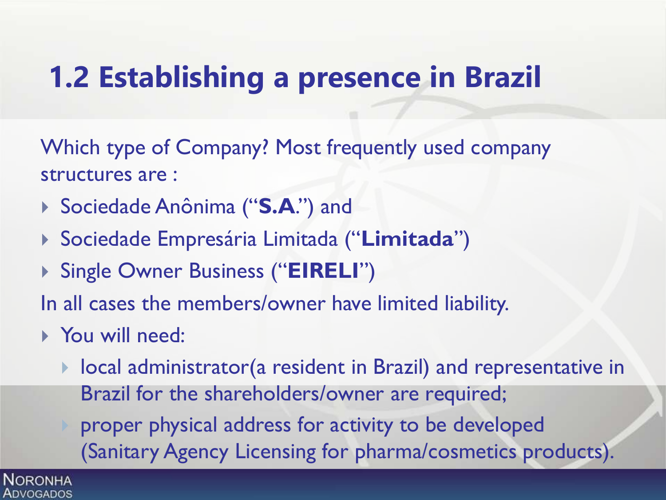# **1.2 Establishing a presence in Brazil**

Which type of Company? Most frequently used company structures are :

- Sociedade Anônima ("**S.A**.") and
- Sociedade Empresária Limitada ("**Limitada**")
- Single Owner Business ("**EIRELI**")

In all cases the members/owner have limited liability.

- You will need:
	- local administrator(a resident in Brazil) and representative in Brazil for the shareholders/owner are required;

 proper physical address for activity to be developed (Sanitary Agency Licensing for pharma/cosmetics products).

**NORONHA** Advogados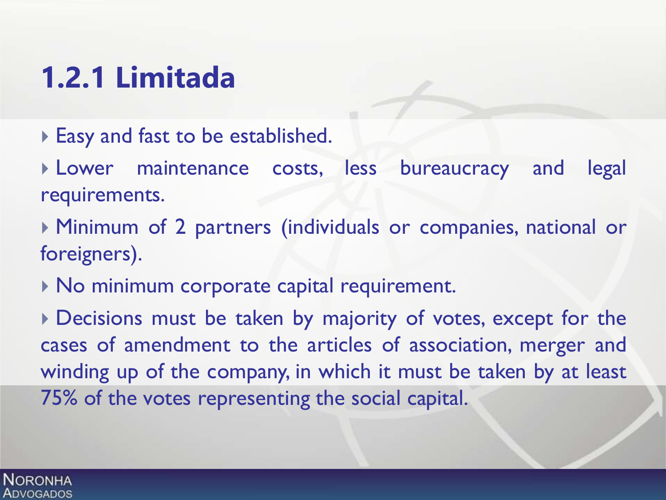# **1.2.1 Limitada**

Easy and fast to be established.

 Lower maintenance costs, less bureaucracy and legal requirements.

 Minimum of 2 partners (individuals or companies, national or foreigners).

 $\triangleright$  No minimum corporate capital requirement.

Decisions must be taken by majority of votes, except for the cases of amendment to the articles of association, merger and winding up of the company, in which it must be taken by at least 75% of the votes representing the social capital.

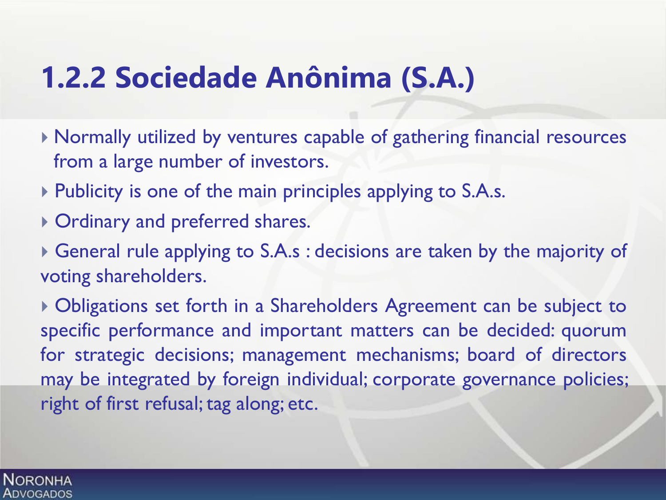### **1.2.2 Sociedade Anônima (S.A.)**

- Normally utilized by ventures capable of gathering financial resources from a large number of investors.
- ▶ Publicity is one of the main principles applying to S.A.s.
- Ordinary and preferred shares.
- General rule applying to S.A.s : decisions are taken by the majority of voting shareholders.

 Obligations set forth in a Shareholders Agreement can be subject to specific performance and important matters can be decided: quorum for strategic decisions; management mechanisms; board of directors may be integrated by foreign individual; corporate governance policies; right of first refusal; tag along; etc.

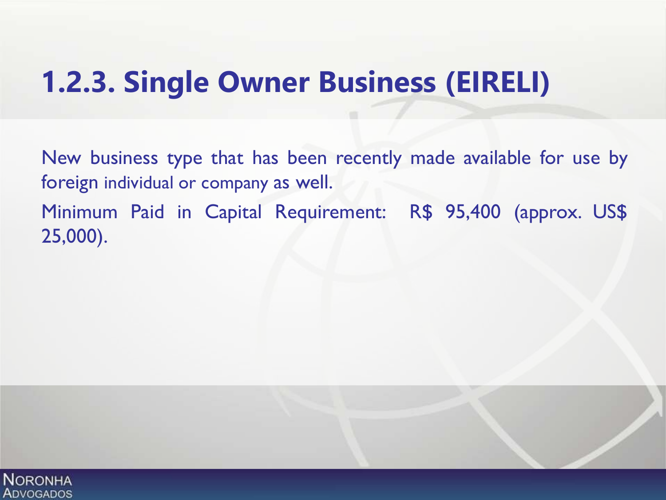## **1.2.3. Single Owner Business (EIRELI)**

New business type that has been recently made available for use by foreign individual or company as well. Minimum Paid in Capital Requirement: R\$ 95,400 (approx. US\$ 25,000).

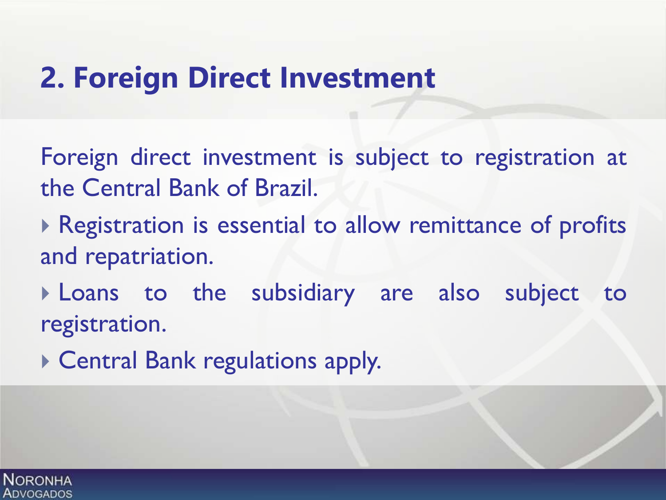#### **2. Foreign Direct Investment**

Foreign direct investment is subject to registration at the Central Bank of Brazil.

- ▶ Registration is essential to allow remittance of profits and repatriation.
- Loans to the subsidiary are also subject to registration.
- Central Bank regulations apply.

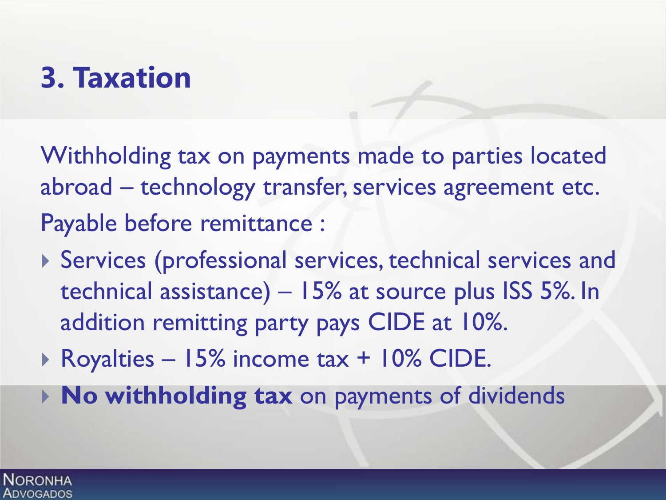# **3. Taxation**

Withholding tax on payments made to parties located abroad – technology transfer, services agreement etc. Payable before remittance :

- Services (professional services, technical services and technical assistance) – 15% at source plus ISS 5%. In addition remitting party pays CIDE at 10%.
- ▶ Royalties 15% income tax + 10% CIDE.
- **No withholding tax** on payments of dividends

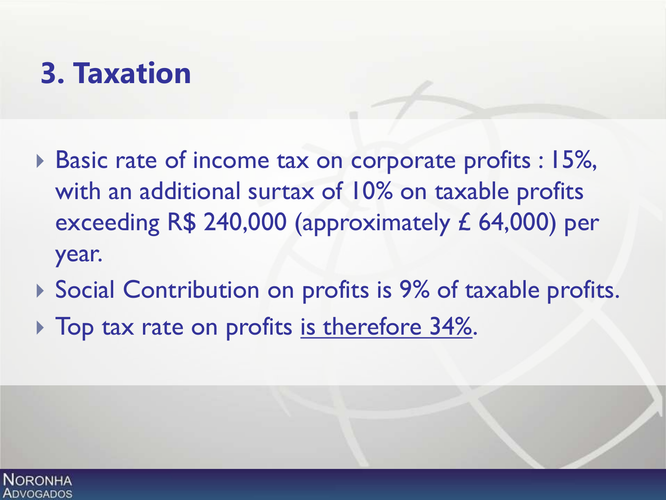# **3. Taxation**

- ▶ Basic rate of income tax on corporate profits : 15%, with an additional surtax of 10% on taxable profits exceeding R\$ 240,000 (approximately £ 64,000) per year.
- ▶ Social Contribution on profits is 9% of taxable profits.
- ▶ Top tax rate on profits is therefore 34%.

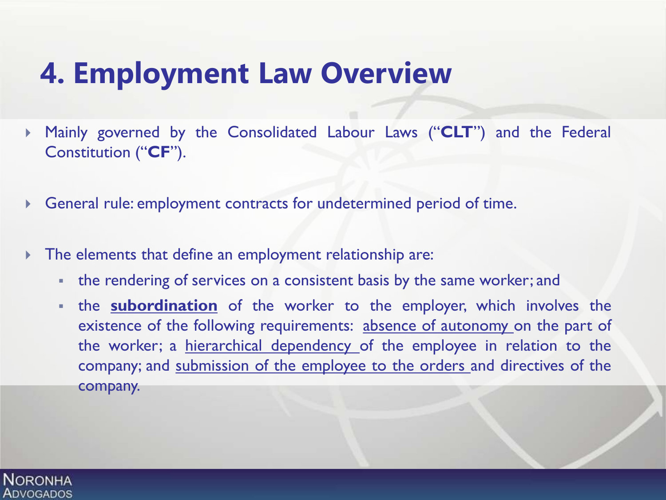# **4. Employment Law Overview**

- Mainly governed by the Consolidated Labour Laws ("**CLT**") and the Federal Constitution ("**CF**").
- General rule: employment contracts for undetermined period of time.
- The elements that define an employment relationship are:
	- the rendering of services on a consistent basis by the same worker; and
	- the **subordination** of the worker to the employer, which involves the existence of the following requirements: absence of autonomy on the part of the worker; a hierarchical dependency of the employee in relation to the company; and submission of the employee to the orders and directives of the company.

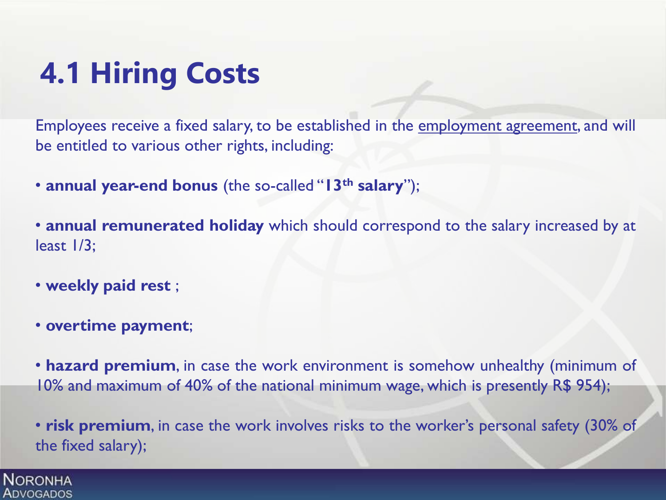# **4.1 Hiring Costs**

Employees receive a fixed salary, to be established in the employment agreement, and will be entitled to various other rights, including:

• **annual year-end bonus** (the so-called "**13th salary**");

• **annual remunerated holiday** which should correspond to the salary increased by at least 1/3;

- **weekly paid rest** ;
- **overtime payment**;

**NORONHA ADVOGADOS** 

• **hazard premium**, in case the work environment is somehow unhealthy (minimum of 10% and maximum of 40% of the national minimum wage, which is presently R\$ 954);

• **risk premium**, in case the work involves risks to the worker's personal safety (30% of the fixed salary);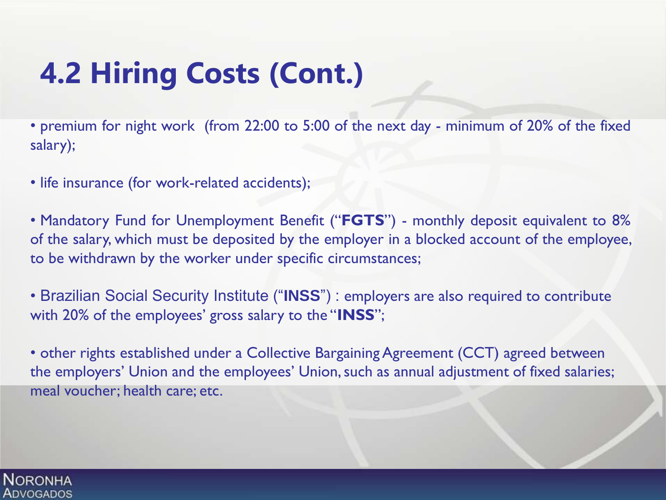# **4.2 Hiring Costs (Cont.)**

• premium for night work (from 22:00 to 5:00 of the next day - minimum of 20% of the fixed salary);

• life insurance (for work-related accidents);

• Mandatory Fund for Unemployment Benefit ("**FGTS**") - monthly deposit equivalent to 8% of the salary, which must be deposited by the employer in a blocked account of the employee, to be withdrawn by the worker under specific circumstances;

• Brazilian Social Security Institute ("**INSS**") : employers are also required to contribute with 20% of the employees' gross salary to the "**INSS**";

• other rights established under a Collective Bargaining Agreement (CCT) agreed between the employers' Union and the employees' Union, such as annual adjustment of fixed salaries; meal voucher; health care; etc.

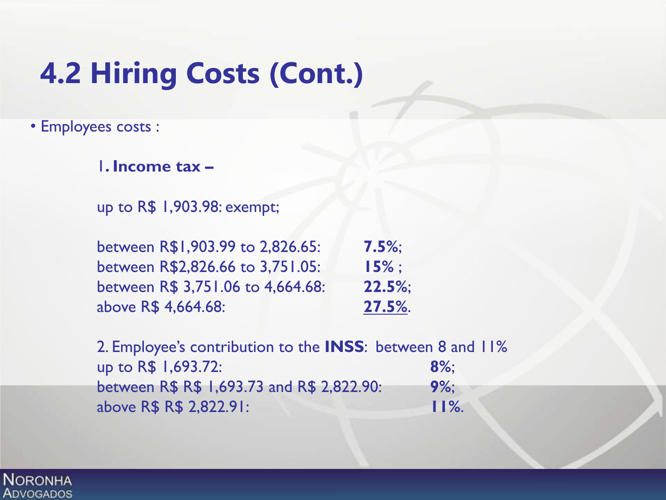# **4.2 Hiring Costs (Cont.)**

• Employees costs :

1**. Income tax –**

up to R\$ 1,903.98: exempt;

between R\$1,903.99 to 2,826.65: **7.5%**; between R\$2,826.66 to 3,751.05: **15%** ; between R\$ 3,751.06 to 4,664.68: **22.5%**; above R\$ 4,664.68: **27.5%**.

2. Employee's contribution to the **INSS**: between 8 and 11% up to R\$ 1,693.72: **8%**; between R\$ R\$ 1,693.73 and R\$ 2,822.90: **9%**; above R\$ R\$ 2,822.91: **11%**.

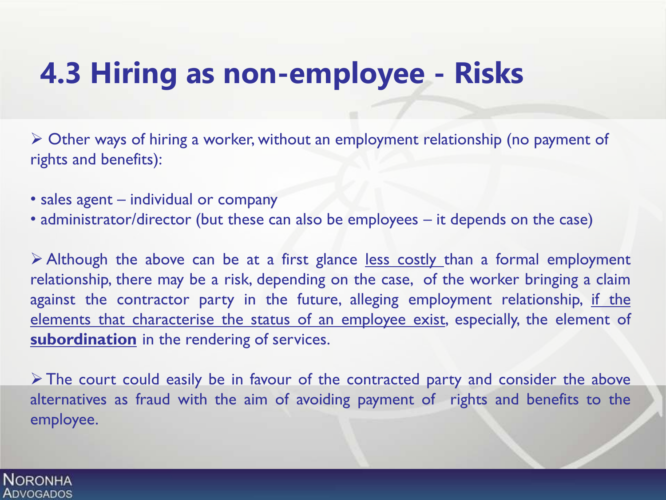# **4.3 Hiring as non-employee - Risks**

 Other ways of hiring a worker, without an employment relationship (no payment of rights and benefits):

- sales agent individual or company
- administrator/director (but these can also be employees it depends on the case)

 $\triangleright$  Although the above can be at a first glance <u>less costly than</u> a formal employment relationship, there may be a risk, depending on the case, of the worker bringing a claim against the contractor party in the future, alleging employment relationship, if the elements that characterise the status of an employee exist, especially, the element of **subordination** in the rendering of services.

 $\triangleright$  The court could easily be in favour of the contracted party and consider the above alternatives as fraud with the aim of avoiding payment of rights and benefits to the employee.